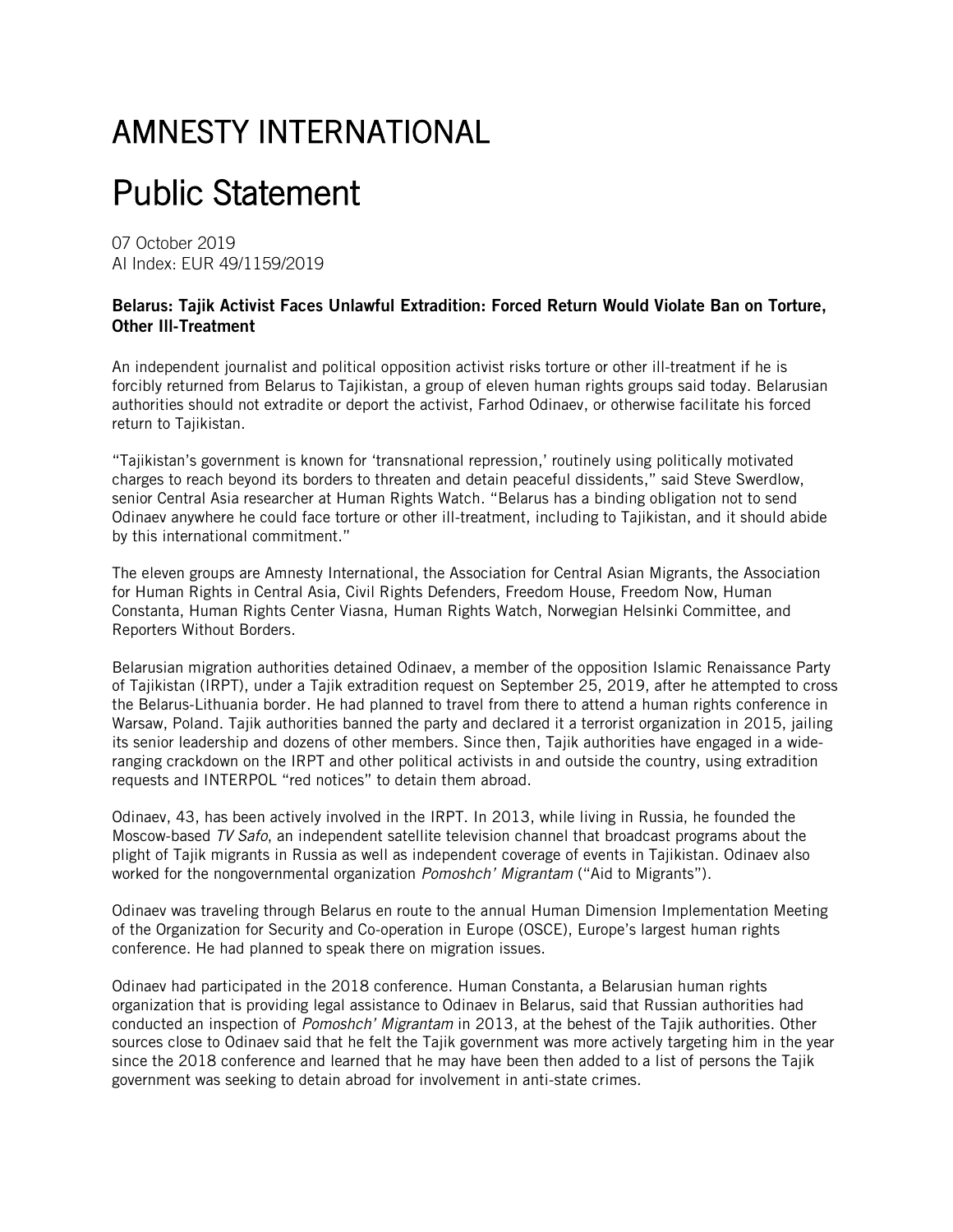## AMNESTY INTERNATIONAL

## Public Statement

07 October 2019 AI Index: EUR 49/1159/2019

## Belarus: Tajik Activist Faces Unlawful Extradition: Forced Return Would Violate Ban on Torture, Other Ill-Treatment

An independent journalist and political opposition activist risks torture or other ill-treatment if he is forcibly returned from Belarus to Tajikistan, a group of eleven human rights groups said today. Belarusian authorities should not extradite or deport the activist, Farhod Odinaev, or otherwise facilitate his forced return to Tajikistan.

"Tajikistan's government is known for 'transnational repression,' routinely using politically motivated charges to reach beyond its borders to threaten and detain peaceful dissidents," said Steve Swerdlow, senior Central Asia researcher at Human Rights Watch. "Belarus has a binding obligation not to send Odinaev anywhere he could face torture or other ill-treatment, including to Tajikistan, and it should abide by this international commitment."

The eleven groups are Amnesty International, the Association for Central Asian Migrants, the Association for Human Rights in Central Asia, Civil Rights Defenders, Freedom House, Freedom Now, Human Constanta, Human Rights Center Viasna, Human Rights Watch, Norwegian Helsinki Committee, and Reporters Without Borders.

Belarusian migration authorities detained Odinaev, a member of the opposition Islamic Renaissance Party of Tajikistan (IRPT), under a Tajik extradition request on September 25, 2019, after he attempted to cross the Belarus-Lithuania border. He had planned to travel from there to attend a human rights conference in Warsaw, Poland. Tajik authorities banned the party and declared it a terrorist organization in 2015, jailing its senior leadership and dozens of other members. Since then, Tajik authorities have engaged in a wideranging crackdown on the IRPT and other political activists in and outside the country, using extradition requests and INTERPOL "red notices" to detain them abroad.

Odinaev, 43, has been actively involved in the IRPT. In 2013, while living in Russia, he founded the Moscow-based *TV Safo*, an independent satellite television channel that broadcast programs about the plight of Tajik migrants in Russia as well as independent coverage of events in Tajikistan. Odinaev also worked for the nongovernmental organization *Pomoshch' Migrantam* ("Aid to Migrants").

Odinaev was traveling through Belarus en route to the annual Human Dimension Implementation Meeting of the Organization for Security and Co-operation in Europe (OSCE), Europe's largest human rights conference. He had planned to speak there on migration issues.

Odinaev had participated in the 2018 conference. Human Constanta, a Belarusian human rights organization that is providing legal assistance to Odinaev in Belarus, said that Russian authorities had conducted an inspection of *Pomoshch' Migrantam* in 2013, at the behest of the Tajik authorities. Other sources close to Odinaev said that he felt the Tajik government was more actively targeting him in the year since the 2018 conference and learned that he may have been then added to a list of persons the Tajik government was seeking to detain abroad for involvement in anti-state crimes.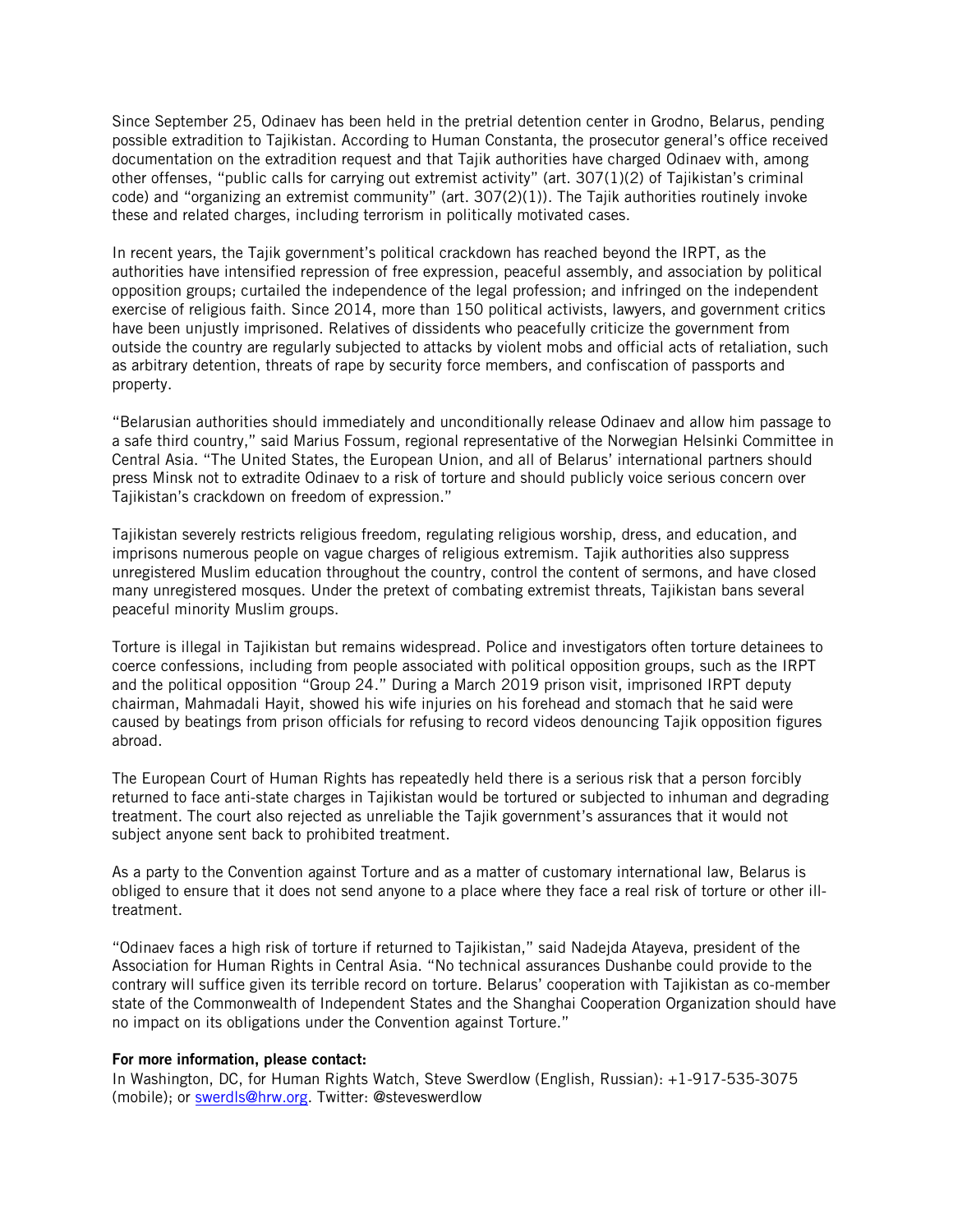Since September 25, Odinaev has been held in the pretrial detention center in Grodno, Belarus, pending possible extradition to Tajikistan. According to Human Constanta, the prosecutor general's office received documentation on the extradition request and that Tajik authorities have charged Odinaev with, among other offenses, "public calls for carrying out extremist activity" (art. 307(1)(2) of Tajikistan's criminal code) and "organizing an extremist community" (art. 307(2)(1)). The Tajik authorities routinely invoke these and related charges, including terrorism in politically motivated cases.

In recent years, the Tajik government's political crackdown has reached beyond the IRPT, as the authorities have intensified repression of free expression, peaceful assembly, and association by political opposition groups; curtailed the independence of the legal profession; and infringed on the independent exercise of religious faith. Since 2014, more than 150 political activists, lawyers, and government critics have been unjustly imprisoned. Relatives of dissidents who peacefully criticize the government from outside the country are regularly subjected to attacks by violent mobs and official acts of retaliation, such as arbitrary detention, threats of rape by security force members, and confiscation of passports and property.

"Belarusian authorities should immediately and unconditionally release Odinaev and allow him passage to a safe third country," said Marius Fossum, regional representative of the Norwegian Helsinki Committee in Central Asia. "The United States, the European Union, and all of Belarus' international partners should press Minsk not to extradite Odinaev to a risk of torture and should publicly voice serious concern over Tajikistan's crackdown on freedom of expression."

Tajikistan severely restricts religious freedom, regulating religious worship, dress, and education, and imprisons numerous people on vague charges of religious extremism. Tajik authorities also suppress unregistered Muslim education throughout the country, control the content of sermons, and have closed many unregistered mosques. Under the pretext of combating extremist threats, Tajikistan bans several peaceful minority Muslim groups.

Torture is illegal in Tajikistan but remains widespread. Police and investigators often torture detainees to coerce confessions, including from people associated with political opposition groups, such as the IRPT and the political opposition "Group 24." During a March 2019 prison visit, imprisoned IRPT deputy chairman, Mahmadali Hayit, showed his wife injuries on his forehead and stomach that he said were caused by beatings from prison officials for refusing to record videos denouncing Tajik opposition figures abroad.

The European Court of Human Rights has repeatedly held there is a serious risk that a person forcibly returned to face anti-state charges in Tajikistan would be tortured or subjected to inhuman and degrading treatment. The court also rejected as unreliable the Tajik government's assurances that it would not subject anyone sent back to prohibited treatment.

As a party to the Convention against Torture and as a matter of customary international law, Belarus is obliged to ensure that it does not send anyone to a place where they face a real risk of torture or other illtreatment.

"Odinaev faces a high risk of torture if returned to Tajikistan," said Nadejda Atayeva, president of the Association for Human Rights in Central Asia. "No technical assurances Dushanbe could provide to the contrary will suffice given its terrible record on torture. Belarus' cooperation with Tajikistan as co-member state of the Commonwealth of Independent States and the Shanghai Cooperation Organization should have no impact on its obligations under the Convention against Torture."

## For more information, please contact:

In Washington, DC, for Human Rights Watch, Steve Swerdlow (English, Russian): +1-917-535-3075 (mobile); or [swerdls@hrw.org.](mailto:swerdls@hrw.org) Twitter: @steveswerdlow